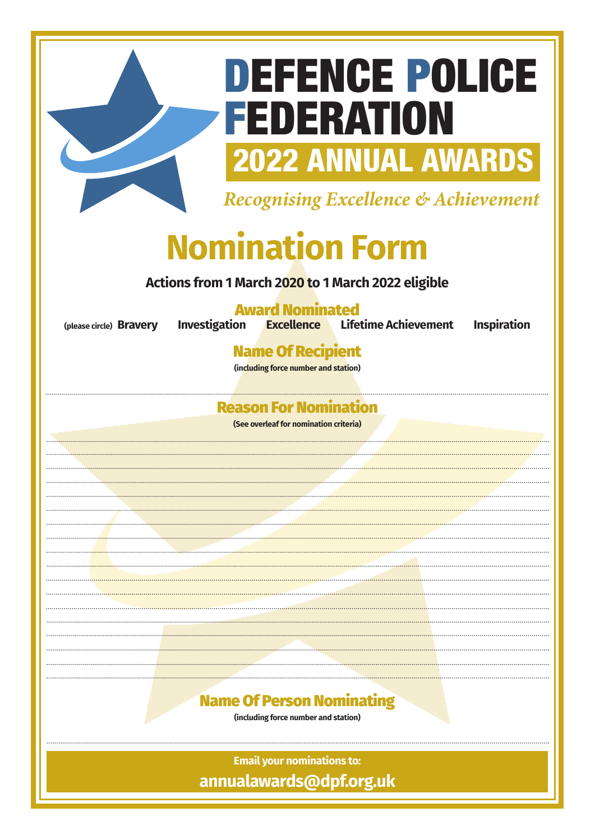# DEFENCE POLICE FEDERATION 2022 ANNUAL AWARDS

Recognising Excellence & Achievement

# **Nomination Form**

**Actions from 1 March 2020 to 1 March 2022 eligible**

**Award Nominated<br>Investigation Excellence Lifet** 

**(please circle) Bravery Investigation Excellence Lifetime Achievement Inspiration**

Name Of Recipient

**(including force number and station)**

### Reason For Nomination

**(See overleaf for nomination criteria)**



**(including force number and station)**

**Email your nominations to: annualawards@dpf.org.uk**